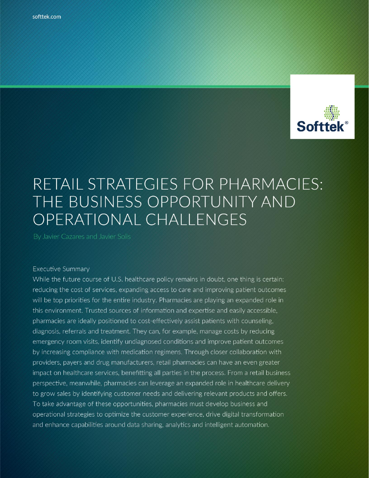

# RETAIL STRATEGIES FOR PHARMACIES: THE BUSINESS OPPORTUNITY AND OPERATIONAL CHALLENGES

#### **Executive Summary**

While the future course of U.S. healthcare policy remains in doubt, one thing is certain: reducing the cost of services, expanding access to care and improving patient outcomes will be top priorities for the entire industry. Pharmacies are playing an expanded role in this environment. Trusted sources of information and expertise and easily accessible, pharmacies are ideally positioned to cost-effectively assist patients with counseling, diagnosis, referrals and treatment. They can, for example, manage costs by reducing emergency room visits, identify undiagnosed conditions and improve patient outcomes by increasing compliance with medication regimens. Through closer collaboration with providers, payers and drug manufacturers, retail pharmacies can have an even greater impact on healthcare services, benefitting all parties in the process. From a retail business perspective, meanwhile, pharmacies can leverage an expanded role in healthcare delivery to grow sales by identifying customer needs and delivering relevant products and offers. To take advantage of these opportunities, pharmacies must develop business and operational strategies to optimize the customer experience, drive digital transformation and enhance capabilities around data sharing, analytics and intelligent automation.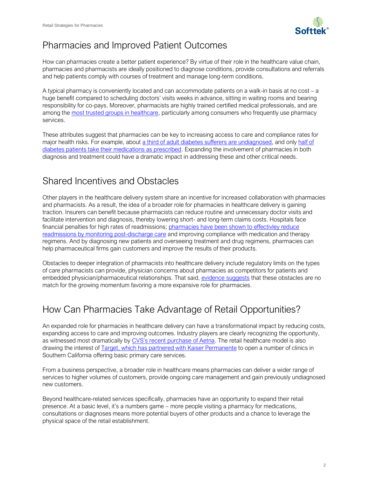

### Pharmacies and Improved Patient Outcomes

How can pharmacies create a better patient experience? By virtue of their role in the healthcare value chain, pharmacies and pharmacists are ideally positioned to diagnose conditions, provide consultations and referrals and help patients comply with courses of treatment and manage long-term conditions.

A typical pharmacy is conveniently located and can accommodate patients on a walk-in basis at no cost – a huge benefit compared to scheduling doctors' visits weeks in advance, sitting in waiting rooms and bearing responsibility for co-pays. Moreover, pharmacists are highly trained certified medical professionals, and are among the [most trusted groups in healthcare,](http://drugtopics.modernmedicine.com/drug-topics/news/why-consumers-trust-pharmacists) particularly among consumers who frequently use pharmacy services.

These attributes suggest that pharmacies can be key to increasing access to care and compliance rates for major health risks. For example, about [a third of adult diabetes sufferers are undiagnosed,](http://www.diabetes.org/diabetes-basics/statistics/) and only half of [diabetes patients take their medications as prescribed.](https://www.ncbi.nlm.nih.gov/pmc/articles/PMC4315534/) Expanding the involvement of pharmacies in both diagnosis and treatment could have a dramatic impact in addressing these and other critical needs.

#### Shared Incentives and Obstacles

Other players in the healthcare delivery system share an incentive for increased collaboration with pharmacies and pharmacists. As a result, the idea of a broader role for pharmacies in healthcare delivery is gaining traction. Insurers can benefit because pharmacists can reduce routine and unnecessary doctor visits and facilitate intervention and diagnosis, thereby lowering short- and long-term claims costs. Hospitals face financial penalties for high rates of readmissions; pharmacies have been shown to effectivley reduce [readmissions by monitoring post-discharge care](http://www.pharmacist.com/targeting-transitions-pharmacists-critical-reducing-readmissions) and improving compliance with medication and therapy regimens. And by diagnosing new patients and overseeing treatment and drug regimens, pharmacies can help pharmaceutical firms gain customers and improve the results of their products.

Obstacles to deeper integration of pharmacists into healthcare delivery include regulatory limits on the types of care pharmacists can provide, physician concerns about pharmacies as competitors for patients and embedded physician/pharmaceutical relationships. That said, [evidence suggests](https://www.strategyand.pwc.com/media/file/The_Pharmacy_Solution.pdf) that these obstacles are no match for the growing momentum favoring a more expansive role for pharmacies.

## How Can Pharmacies Take Advantage of Retail Opportunities?

An expanded role for pharmacies in healthcare delivery can have a transformational impact by reducing costs, expanding access to care and improving outcomes. Industry players are clearly recognizing the opportunity, as witnessed most dramatically by [CVS's recent purchase of Aetna](https://www.nytimes.com/2017/12/03/business/dealbook/cvs-is-said-to-agree-to-buy-aetna-reshaping-health-care-industry.html). The retail healthcare model is also drawing the interest of **Target, which has partnered with Kaiser Permanente** to open a number of clinics in Southern California offering basic primary care services.

From a business perspective, a broader role in healthcare means pharmacies can deliver a wider range of services to higher volumes of customers, provide ongoing care management and gain previously undiagnosed new customers.

Beyond healthcare-related services specifically, pharmacies have an opportunity to expand their retail presence. At a basic level, it's a numbers game – more people visiting a pharmacy for medications, consultations or diagnoses means more potential buyers of other products and a chance to leverage the physical space of the retail establishment.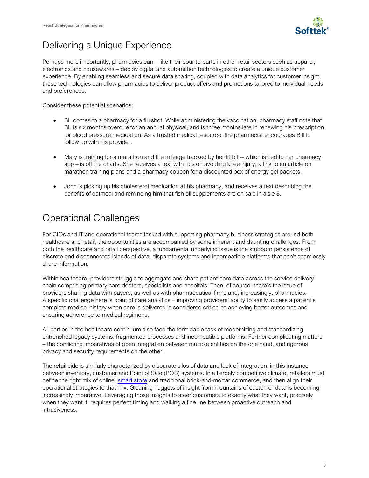

## Delivering a Unique Experience

Perhaps more importantly, pharmacies can – like their counterparts in other retail sectors such as apparel, electronics and housewares – deploy digital and automation technologies to create a unique customer experience. By enabling seamless and secure data sharing, coupled with data analytics for customer insight, these technologies can allow pharmacies to deliver product offers and promotions tailored to individual needs and preferences.

Consider these potential scenarios:

- Bill comes to a pharmacy for a flu shot. While administering the vaccination, pharmacy staff note that Bill is six months overdue for an annual physical, and is three months late in renewing his prescription for blood pressure medication. As a trusted medical resource, the pharmacist encourages Bill to follow up with his provider.
- Mary is training for a marathon and the mileage tracked by her fit bit -- which is tied to her pharmacy app – is off the charts. She receives a text with tips on avoiding knee injury, a link to an article on marathon training plans and a pharmacy coupon for a discounted box of energy gel packets.
- John is picking up his cholesterol medication at his pharmacy, and receives a text describing the benefits of oatmeal and reminding him that fish oil supplements are on sale in aisle 8.

### Operational Challenges

For CIOs and IT and operational teams tasked with supporting pharmacy business strategies around both healthcare and retail, the opportunities are accompanied by some inherent and daunting challenges. From both the healthcare and retail perspective, a fundamental underlying issue is the stubborn persistence of discrete and disconnected islands of data, disparate systems and incompatible platforms that can't seamlessly share information.

Within healthcare, providers struggle to aggregate and share patient care data across the service delivery chain comprising primary care doctors, specialists and hospitals. Then, of course, there's the issue of providers sharing data with payers, as well as with pharmaceutical firms and, increasingly, pharmacies. A specific challenge here is point of care analytics – improving providers' ability to easily access a patient's complete medical history when care is delivered is considered critical to achieving better outcomes and ensuring adherence to medical regimens.

All parties in the healthcare continuum also face the formidable task of modernizing and standardizing entrenched legacy systems, fragmented processes and incompatible platforms. Further complicating matters – the conflicting imperatives of open integration between multiple entities on the one hand, and rigorous privacy and security requirements on the other.

The retail side is similarly characterized by disparate silos of data and lack of integration, in this instance between inventory, customer and Point of Sale (POS) systems. In a fiercely competitive climate, retailers must define the right mix of online, [smart store](http://en.softtek.co/smart-store?__hstc=217137353.5fe6f2d510690370be43a9dd7a0c563e.1486048285010.1510248121140.1510333788346.284&__hssc=217137353.2.1510333788346&__hsfp=2230305093) and traditional brick-and-mortar commerce, and then align their operational strategies to that mix. Gleaning nuggets of insight from mountains of customer data is becoming increasingly imperative. Leveraging those insights to steer customers to exactly what they want, precisely when they want it, requires perfect timing and walking a fine line between proactive outreach and intrusiveness.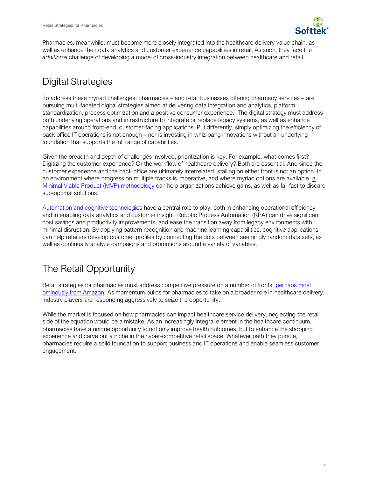

Pharmacies, meanwhile, must become more closely integrated into the healthcare delivery value chain, as well as enhance their data analytics and customer experience capabilities in retail. As such, they face the *additional* challenge of developing a model of cross-industry integration between healthcare and retail.

# Digital Strategies

To address these myriad challenges, pharmacies – and retail businesses offering pharmacy services – are pursuing multi-faceted digital strategies aimed at delivering data integration and analytics, platform standardization, process optimization and a positive consumer experience. The digital strategy must address both underlying operations and infrastructure to integrate or replace legacy systems, as well as enhance capabilities around front-end, customer-facing applications. Put differently, simply optimizing the efficiency of back office IT operations is not enough – nor is investing in whiz-bang innovations without an underlying foundation that supports the full range of capabilities.

Given the breadth and depth of challenges involved, prioritization is key. For example, what comes first? Digitizing the customer experience? Or the workflow of healthcare delivery? Both are essential. And since the customer experience and the back office are ultimately interrelated, stalling on either front is not an option. In an environment where progress on multiple tracks is imperative, and where myriad options are available, a [Minimal Viable Product \(MVP\) methodology](https://en.softtek.co/hubfs/insights/softtek-white_paper-3_keys_iot.pdf) can help organizations achieve gains, as well as fail fast to discard sub-optimal solutions.

[Automation and cognitive technologies](http://en.softtek.co/bpa?__hstc=217137353.5fe6f2d510690370be43a9dd7a0c563e.1486048285010.1508863388349.1508959365306.268&__hssc=217137353.3.1508959365306&__hsfp=2321801947) have a central role to play, both in enhancing operational efficiency and in enabling data analytics and customer insight. Robotic Process Automation (RPA) can drive significant cost savings and productivity improvements, and ease the transition away from legacy environments with minimal disruption. By applying pattern recognition and machine learning capabilities, cognitive applications can help retailers develop customer profiles by connecting the dots between seemingly random data sets, as well as continually analyze campaigns and promotions around a variety of variables.

## The Retail Opportunity

Retail strategies for pharmacies must address competitive pressure on a number of fronts, perhaps most [ominously from Amazon.](https://www.marketwatch.com/story/is-amazon-getting-into-the-pharmacy-business-this-is-what-you-need-to-know-2017-10-09) As momentum builds for pharmacies to take on a broader role in healthcare delivery, industry players are responding aggressively to seize the opportunity.

While the market is focused on how pharmacies can impact healthcare service delivery, neglecting the retail side of the equation would be a mistake. As an increasingly integral element in the healthcare continuum, pharmacies have a unique opportunity to not only improve health outcomes, but to enhance the shopping experience and carve out a niche in the hyper-competitive retail space. Whatever path they pursue, pharmacies require a solid foundation to support business and IT operations and enable seamless customer engagement.